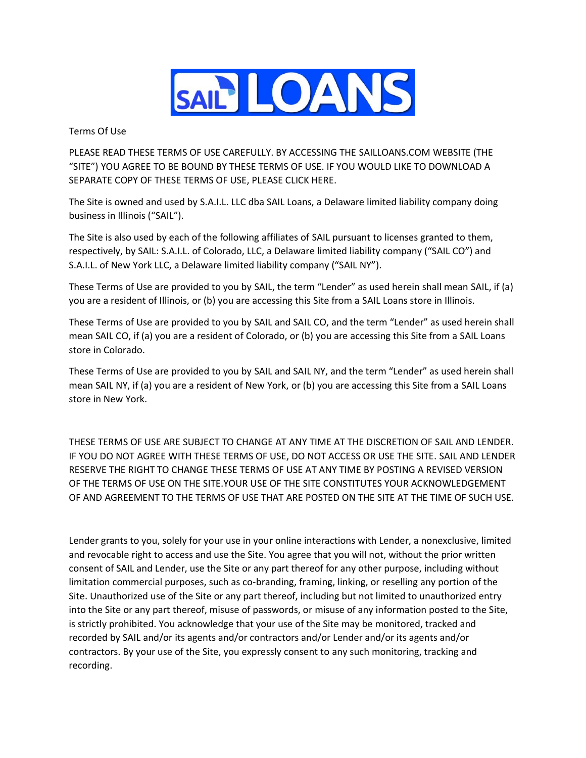

Terms Of Use

PLEASE READ THESE TERMS OF USE CAREFULLY. BY ACCESSING THE SAILLOANS.COM WEBSITE (THE "SITE") YOU AGREE TO BE BOUND BY THESE TERMS OF USE. IF YOU WOULD LIKE TO DOWNLOAD A SEPARATE COPY OF THESE TERMS OF USE, PLEASE CLICK HERE.

The Site is owned and used by S.A.I.L. LLC dba SAIL Loans, a Delaware limited liability company doing business in Illinois ("SAIL").

The Site is also used by each of the following affiliates of SAIL pursuant to licenses granted to them, respectively, by SAIL: S.A.I.L. of Colorado, LLC, a Delaware limited liability company ("SAIL CO") and S.A.I.L. of New York LLC, a Delaware limited liability company ("SAIL NY").

These Terms of Use are provided to you by SAIL, the term "Lender" as used herein shall mean SAIL, if (a) you are a resident of Illinois, or (b) you are accessing this Site from a SAIL Loans store in Illinois.

These Terms of Use are provided to you by SAIL and SAIL CO, and the term "Lender" as used herein shall mean SAIL CO, if (a) you are a resident of Colorado, or (b) you are accessing this Site from a SAIL Loans store in Colorado.

These Terms of Use are provided to you by SAIL and SAIL NY, and the term "Lender" as used herein shall mean SAIL NY, if (a) you are a resident of New York, or (b) you are accessing this Site from a SAIL Loans store in New York.

THESE TERMS OF USE ARE SUBJECT TO CHANGE AT ANY TIME AT THE DISCRETION OF SAIL AND LENDER. IF YOU DO NOT AGREE WITH THESE TERMS OF USE, DO NOT ACCESS OR USE THE SITE. SAIL AND LENDER RESERVE THE RIGHT TO CHANGE THESE TERMS OF USE AT ANY TIME BY POSTING A REVISED VERSION OF THE TERMS OF USE ON THE SITE.YOUR USE OF THE SITE CONSTITUTES YOUR ACKNOWLEDGEMENT OF AND AGREEMENT TO THE TERMS OF USE THAT ARE POSTED ON THE SITE AT THE TIME OF SUCH USE.

Lender grants to you, solely for your use in your online interactions with Lender, a nonexclusive, limited and revocable right to access and use the Site. You agree that you will not, without the prior written consent of SAIL and Lender, use the Site or any part thereof for any other purpose, including without limitation commercial purposes, such as co-branding, framing, linking, or reselling any portion of the Site. Unauthorized use of the Site or any part thereof, including but not limited to unauthorized entry into the Site or any part thereof, misuse of passwords, or misuse of any information posted to the Site, is strictly prohibited. You acknowledge that your use of the Site may be monitored, tracked and recorded by SAIL and/or its agents and/or contractors and/or Lender and/or its agents and/or contractors. By your use of the Site, you expressly consent to any such monitoring, tracking and recording.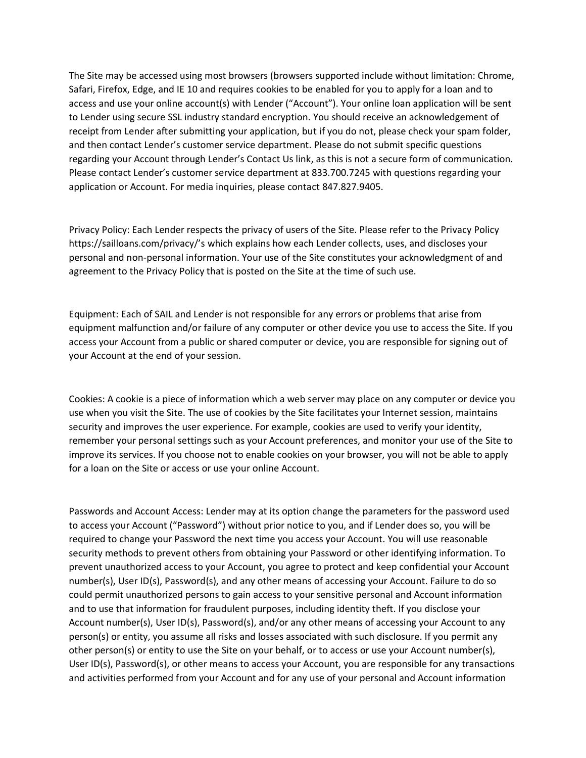The Site may be accessed using most browsers (browsers supported include without limitation: Chrome, Safari, Firefox, Edge, and IE 10 and requires cookies to be enabled for you to apply for a loan and to access and use your online account(s) with Lender ("Account"). Your online loan application will be sent to Lender using secure SSL industry standard encryption. You should receive an acknowledgement of receipt from Lender after submitting your application, but if you do not, please check your spam folder, and then contact Lender's customer service department. Please do not submit specific questions regarding your Account through Lender's Contact Us link, as this is not a secure form of communication. Please contact Lender's customer service department at 833.700.7245 with questions regarding your application or Account. For media inquiries, please contact 847.827.9405.

Privacy Policy: Each Lender respects the privacy of users of the Site. Please refer to the Privacy Policy https://sailloans.com/privacy/'s which explains how each Lender collects, uses, and discloses your personal and non-personal information. Your use of the Site constitutes your acknowledgment of and agreement to the Privacy Policy that is posted on the Site at the time of such use.

Equipment: Each of SAIL and Lender is not responsible for any errors or problems that arise from equipment malfunction and/or failure of any computer or other device you use to access the Site. If you access your Account from a public or shared computer or device, you are responsible for signing out of your Account at the end of your session.

Cookies: A cookie is a piece of information which a web server may place on any computer or device you use when you visit the Site. The use of cookies by the Site facilitates your Internet session, maintains security and improves the user experience. For example, cookies are used to verify your identity, remember your personal settings such as your Account preferences, and monitor your use of the Site to improve its services. If you choose not to enable cookies on your browser, you will not be able to apply for a loan on the Site or access or use your online Account.

Passwords and Account Access: Lender may at its option change the parameters for the password used to access your Account ("Password") without prior notice to you, and if Lender does so, you will be required to change your Password the next time you access your Account. You will use reasonable security methods to prevent others from obtaining your Password or other identifying information. To prevent unauthorized access to your Account, you agree to protect and keep confidential your Account number(s), User ID(s), Password(s), and any other means of accessing your Account. Failure to do so could permit unauthorized persons to gain access to your sensitive personal and Account information and to use that information for fraudulent purposes, including identity theft. If you disclose your Account number(s), User ID(s), Password(s), and/or any other means of accessing your Account to any person(s) or entity, you assume all risks and losses associated with such disclosure. If you permit any other person(s) or entity to use the Site on your behalf, or to access or use your Account number(s), User ID(s), Password(s), or other means to access your Account, you are responsible for any transactions and activities performed from your Account and for any use of your personal and Account information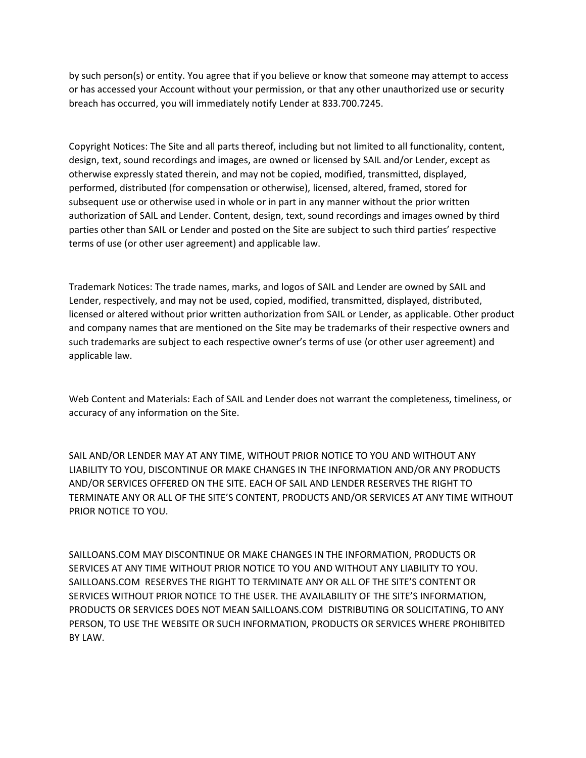by such person(s) or entity. You agree that if you believe or know that someone may attempt to access or has accessed your Account without your permission, or that any other unauthorized use or security breach has occurred, you will immediately notify Lender at 833.700.7245.

Copyright Notices: The Site and all parts thereof, including but not limited to all functionality, content, design, text, sound recordings and images, are owned or licensed by SAIL and/or Lender, except as otherwise expressly stated therein, and may not be copied, modified, transmitted, displayed, performed, distributed (for compensation or otherwise), licensed, altered, framed, stored for subsequent use or otherwise used in whole or in part in any manner without the prior written authorization of SAIL and Lender. Content, design, text, sound recordings and images owned by third parties other than SAIL or Lender and posted on the Site are subject to such third parties' respective terms of use (or other user agreement) and applicable law.

Trademark Notices: The trade names, marks, and logos of SAIL and Lender are owned by SAIL and Lender, respectively, and may not be used, copied, modified, transmitted, displayed, distributed, licensed or altered without prior written authorization from SAIL or Lender, as applicable. Other product and company names that are mentioned on the Site may be trademarks of their respective owners and such trademarks are subject to each respective owner's terms of use (or other user agreement) and applicable law.

Web Content and Materials: Each of SAIL and Lender does not warrant the completeness, timeliness, or accuracy of any information on the Site.

SAIL AND/OR LENDER MAY AT ANY TIME, WITHOUT PRIOR NOTICE TO YOU AND WITHOUT ANY LIABILITY TO YOU, DISCONTINUE OR MAKE CHANGES IN THE INFORMATION AND/OR ANY PRODUCTS AND/OR SERVICES OFFERED ON THE SITE. EACH OF SAIL AND LENDER RESERVES THE RIGHT TO TERMINATE ANY OR ALL OF THE SITE'S CONTENT, PRODUCTS AND/OR SERVICES AT ANY TIME WITHOUT PRIOR NOTICE TO YOU.

SAILLOANS.COM MAY DISCONTINUE OR MAKE CHANGES IN THE INFORMATION, PRODUCTS OR SERVICES AT ANY TIME WITHOUT PRIOR NOTICE TO YOU AND WITHOUT ANY LIABILITY TO YOU. SAILLOANS.COM RESERVES THE RIGHT TO TERMINATE ANY OR ALL OF THE SITE'S CONTENT OR SERVICES WITHOUT PRIOR NOTICE TO THE USER. THE AVAILABILITY OF THE SITE'S INFORMATION, PRODUCTS OR SERVICES DOES NOT MEAN SAILLOANS.COM DISTRIBUTING OR SOLICITATING, TO ANY PERSON, TO USE THE WEBSITE OR SUCH INFORMATION, PRODUCTS OR SERVICES WHERE PROHIBITED BY LAW.